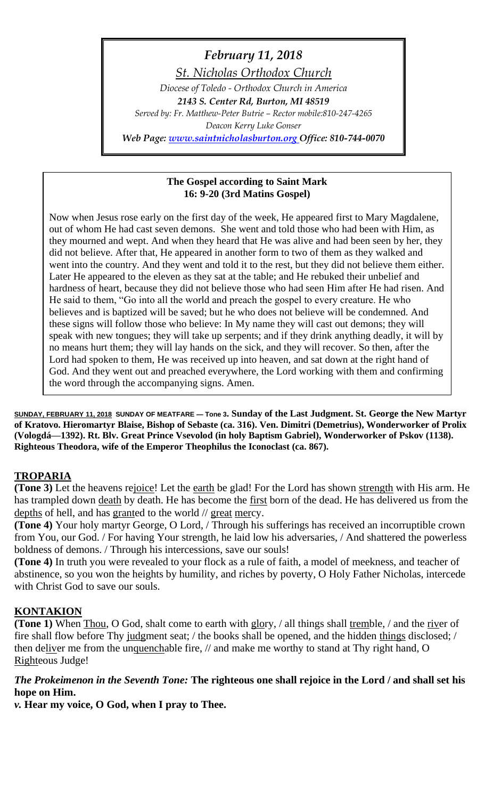## *February 11, 2018*

*St. Nicholas Orthodox Church*

*Diocese of Toledo - Orthodox Church in America 2143 S. Center Rd, Burton, MI 48519 Served by: Fr. Matthew-Peter Butrie – Rector mobile:810-247-4265 Deacon Kerry Luke Gonser Web Page: [www.saintnicholasburton.org](http://www.saintnicholasburton.org/) Office: 810-744-0070*

#### **The Gospel according to Saint Mark 16: 9-20 (3rd Matins Gospel)**

Now when Jesus rose early on the first day of the week, He appeared first to Mary Magdalene, out of whom He had cast seven demons. She went and told those who had been with Him, as they mourned and wept. And when they heard that He was alive and had been seen by her, they did not believe. After that, He appeared in another form to two of them as they walked and went into the country. And they went and told it to the rest, but they did not believe them either. Later He appeared to the eleven as they sat at the table; and He rebuked their unbelief and hardness of heart, because they did not believe those who had seen Him after He had risen. And He said to them, "Go into all the world and preach the gospel to every creature. He who believes and is baptized will be saved; but he who does not believe will be condemned. And these signs will follow those who believe: In My name they will cast out demons; they will speak with new tongues; they will take up serpents; and if they drink anything deadly, it will by no means hurt them; they will lay hands on the sick, and they will recover. So then, after the Lord had spoken to them, He was received up into heaven, and sat down at the right hand of God. And they went out and preached everywhere, the Lord working with them and confirming the word through the accompanying signs. Amen.

**SUNDAY, FEBRUARY 11, 2018 SUNDAY OF MEATFARE — Tone 3. Sunday of the Last Judgment. St. George the New Martyr of Kratovo. Hieromartyr Blaise, Bishop of Sebaste (ca. 316). Ven. Dimitri (Demetrius), Wonderworker of Prolix (Vologdá—1392). Rt. Blv. Great Prince Vsevolod (in holy Baptism Gabriel), Wonderworker of Pskov (1138). Righteous Theodora, wife of the Emperor Theophilus the Iconoclast (ca. 867).**

## **TROPARIA**

**(Tone 3)** Let the heavens rejoice! Let the earth be glad! For the Lord has shown strength with His arm. He has trampled down death by death. He has become the first born of the dead. He has delivered us from the depths of hell, and has granted to the world // great mercy.

**(Tone 4)** Your holy martyr George, O Lord, / Through his sufferings has received an incorruptible crown from You, our God. / For having Your strength, he laid low his adversaries, / And shattered the powerless boldness of demons. / Through his intercessions, save our souls!

**(Tone 4)** In truth you were revealed to your flock as a rule of faith, a model of meekness, and teacher of abstinence, so you won the heights by humility, and riches by poverty, O Holy Father Nicholas, intercede with Christ God to save our souls.

## **KONTAKION**

**(Tone 1)** When Thou, O God, shalt come to earth with glory, / all things shall tremble, / and the river of fire shall flow before Thy judgment seat; / the books shall be opened, and the hidden things disclosed; / then deliver me from the unquenchable fire, // and make me worthy to stand at Thy right hand, O Righteous Judge!

## *The Prokeimenon in the Seventh Tone:* **The righteous one shall rejoice in the Lord / and shall set his hope on Him.**

*v.* **Hear my voice, O God, when I pray to Thee.**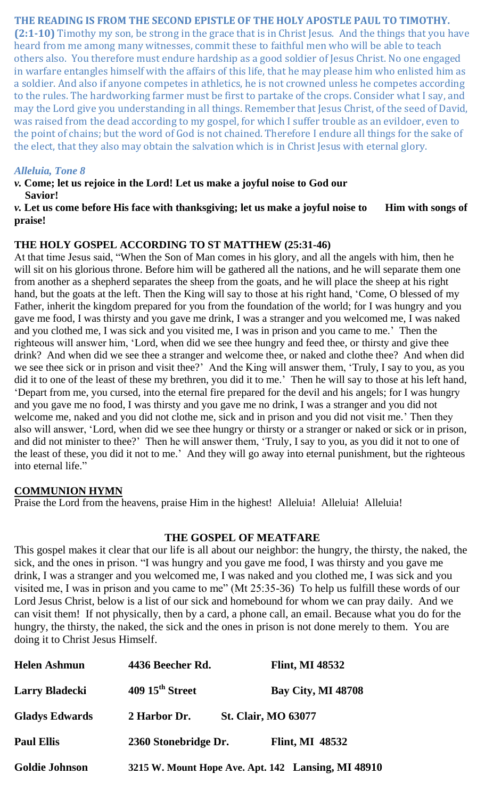## **THE READING IS FROM THE SECOND EPISTLE OF THE HOLY APOSTLE PAUL TO TIMOTHY.**

**(2:1-10)** Timothy my son, be strong in the grace that is in Christ Jesus. And the things that you have heard from me among many witnesses, commit these to faithful men who will be able to teach others also. You therefore must endure hardship as a good soldier of Jesus Christ. No one engaged in warfare entangles himself with the affairs of this life, that he may please him who enlisted him as a soldier. And also if anyone competes in athletics, he is not crowned unless he competes according to the rules. The hardworking farmer must be first to partake of the crops. Consider what I say, and may the Lord give you understanding in all things. Remember that Jesus Christ, of the seed of David, was raised from the dead according to my gospel, for which I suffer trouble as an evildoer, even to the point of chains; but the word of God is not chained. Therefore I endure all things for the sake of the elect, that they also may obtain the salvation which is in Christ Jesus with eternal glory.

#### *Alleluia, Tone 8*

*v.* **Come; let us rejoice in the Lord! Let us make a joyful noise to God our Savior!**

*v*. Let us come before His face with thanksgiving; let us make a joyful noise to Him with songs of **praise!**

#### **THE HOLY GOSPEL ACCORDING TO ST MATTHEW (25:31-46)**

At that time Jesus said, "When the Son of Man comes in his glory, and all the angels with him, then he will sit on his glorious throne. Before him will be gathered all the nations, and he will separate them one from another as a shepherd separates the sheep from the goats, and he will place the sheep at his right hand, but the goats at the left. Then the King will say to those at his right hand, 'Come, O blessed of my Father, inherit the kingdom prepared for you from the foundation of the world; for I was hungry and you gave me food, I was thirsty and you gave me drink, I was a stranger and you welcomed me, I was naked and you clothed me, I was sick and you visited me, I was in prison and you came to me.' Then the righteous will answer him, 'Lord, when did we see thee hungry and feed thee, or thirsty and give thee drink? And when did we see thee a stranger and welcome thee, or naked and clothe thee? And when did we see thee sick or in prison and visit thee?' And the King will answer them, 'Truly, I say to you, as you did it to one of the least of these my brethren, you did it to me.' Then he will say to those at his left hand, 'Depart from me, you cursed, into the eternal fire prepared for the devil and his angels; for I was hungry and you gave me no food, I was thirsty and you gave me no drink, I was a stranger and you did not welcome me, naked and you did not clothe me, sick and in prison and you did not visit me.' Then they also will answer, 'Lord, when did we see thee hungry or thirsty or a stranger or naked or sick or in prison, and did not minister to thee?' Then he will answer them, 'Truly, I say to you, as you did it not to one of the least of these, you did it not to me.' And they will go away into eternal punishment, but the righteous into eternal life."

## **COMMUNION HYMN**

Praise the Lord from the heavens, praise Him in the highest! Alleluia! Alleluia! Alleluia!

#### **THE GOSPEL OF MEATFARE**

This gospel makes it clear that our life is all about our neighbor: the hungry, the thirsty, the naked, the sick, and the ones in prison. "I was hungry and you gave me food, I was thirsty and you gave me drink, I was a stranger and you welcomed me, I was naked and you clothed me, I was sick and you visited me, I was in prison and you came to me" (Mt 25:35-36) To help us fulfill these words of our Lord Jesus Christ, below is a list of our sick and homebound for whom we can pray daily. And we can visit them! If not physically, then by a card, a phone call, an email. Because what you do for the hungry, the thirsty, the naked, the sick and the ones in prison is not done merely to them. You are doing it to Christ Jesus Himself.

| <b>Helen Ashmun</b>   | 4436 Beecher Rd.            | <b>Flint, MI 48532</b>                             |
|-----------------------|-----------------------------|----------------------------------------------------|
| <b>Larry Bladecki</b> | 409 15 <sup>th</sup> Street | <b>Bay City, MI 48708</b>                          |
| <b>Gladys Edwards</b> | 2 Harbor Dr.                | <b>St. Clair, MO 63077</b>                         |
| <b>Paul Ellis</b>     | 2360 Stonebridge Dr.        | <b>Flint, MI 48532</b>                             |
| <b>Goldie Johnson</b> |                             | 3215 W. Mount Hope Ave. Apt. 142 Lansing, MI 48910 |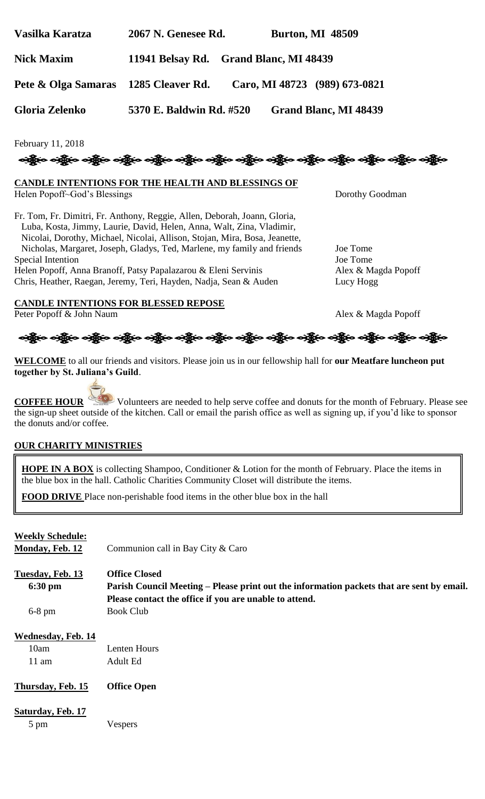| Vasilka Karatza   | 2067 N. Genesee Rd.                    | <b>Burton, MI 48509</b> |
|-------------------|----------------------------------------|-------------------------|
| <b>Nick Maxim</b> | 11941 Belsay Rd. Grand Blanc, MI 48439 |                         |

**Pete & Olga Samaras 1285 Cleaver Rd. Caro, MI 48723 (989) 673-0821**

**Gloria Zelenko 5370 E. Baldwin Rd. #520 Grand Blanc, MI 48439**

February 11, 2018



# **CANDLE INTENTIONS FOR THE HEALTH AND BLESSINGS OF**

Helen Popoff~God's Blessings Dorothy Goodman

Fr. Tom, Fr. Dimitri, Fr. Anthony, Reggie, Allen, Deborah, Joann, Gloria, Luba, Kosta, Jimmy, Laurie, David, Helen, Anna, Walt, Zina, Vladimir, Nicolai, Dorothy, Michael, Nicolai, Allison, Stojan, Mira, Bosa, Jeanette, Nicholas, Margaret, Joseph, Gladys, Ted, Marlene, my family and friends Joe Tome Special Intention Joe Tome Helen Popoff, Anna Branoff, Patsy Papalazarou & Eleni Servinis Alex & Magda Popoff Chris, Heather, Raegan, Jeremy, Teri, Hayden, Nadja, Sean & Auden Lucy Hogg

**CANDLE INTENTIONS FOR BLESSED REPOSE** Peter Popoff & John Naum Alex & Magda Popoff



**WELCOME** to all our friends and visitors. Please join us in our fellowship hall for **our Meatfare luncheon put together by St. Juliana's Guild**.

**COFFEE HOUR** Volunteers are needed to help serve coffee and donuts for the month of February. Please see the sign-up sheet outside of the kitchen. Call or email the parish office as well as signing up, if you'd like to sponsor the donuts and/or coffee.

## **OUR CHARITY MINISTRIES**

**HOPE IN A BOX** is collecting Shampoo, Conditioner & Lotion for the month of February. Place the items in the blue box in the hall. Catholic Charities Community Closet will distribute the items.

**FOOD DRIVE** Place non-perishable food items in the other blue box in the hall

| <b>Weekly Schedule:</b><br><b>Monday, Feb. 12</b>    | Communion call in Bay City & Caro                                                                                                                                           |
|------------------------------------------------------|-----------------------------------------------------------------------------------------------------------------------------------------------------------------------------|
| Tuesday, Feb. 13<br>6:30 pm                          | <b>Office Closed</b><br>Parish Council Meeting – Please print out the information packets that are sent by email.<br>Please contact the office if you are unable to attend. |
| $6-8$ pm                                             | <b>Book Club</b>                                                                                                                                                            |
| <b>Wednesday, Feb. 14</b><br>10am<br>$11 \text{ am}$ | Lenten Hours<br>Adult Ed                                                                                                                                                    |
| Thursday, Feb. 15                                    | <b>Office Open</b>                                                                                                                                                          |
| Saturday, Feb. 17<br>5 pm                            | Vespers                                                                                                                                                                     |